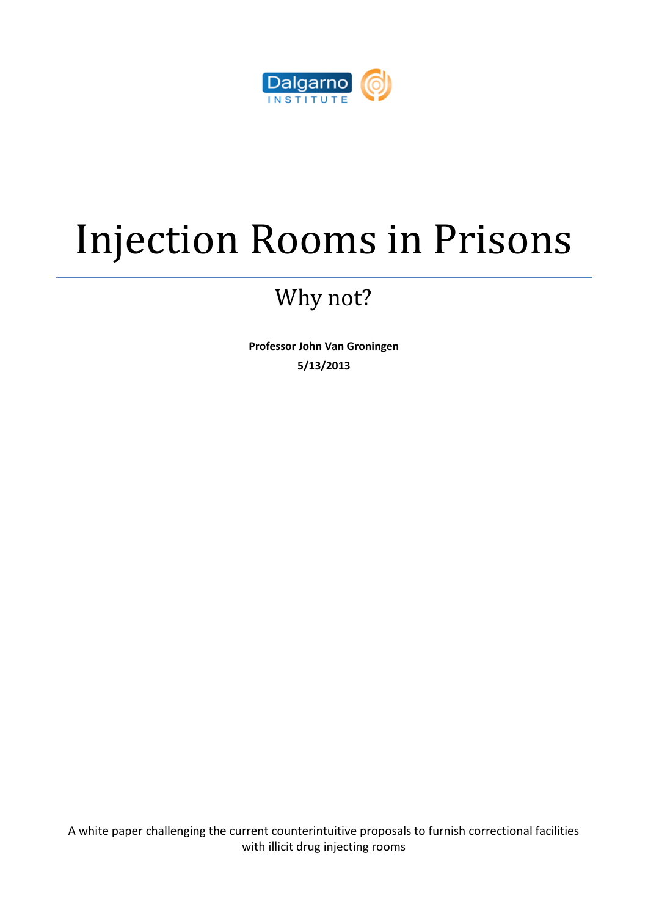

## Injection Rooms in Prisons

## Why not?

**Professor John Van Groningen 5/13/2013**

A white paper challenging the current counterintuitive proposals to furnish correctional facilities with illicit drug injecting rooms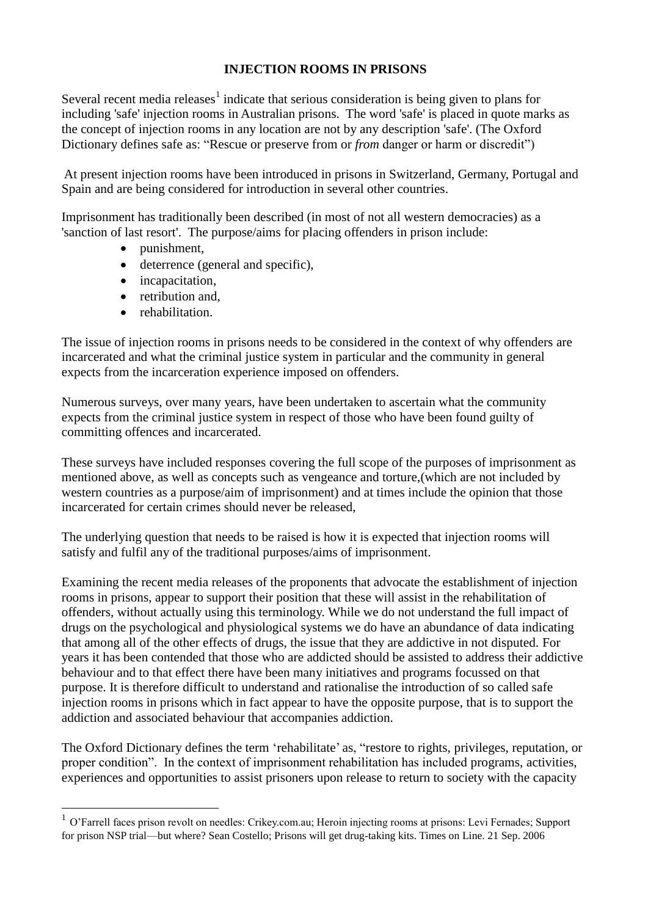## **INJECTION ROOMS IN PRISONS**

Several recent media releases $<sup>1</sup>$  indicate that serious consideration is being given to plans for</sup> including 'safe' injection rooms in Australian prisons. The word 'safe' is placed in quote marks as the concept of injection rooms in any location are not by any description 'safe'. (The Oxford Dictionary defines safe as: "Rescue or preserve from or *from* danger or harm or discredit")

At present injection rooms have been introduced in prisons in Switzerland, Germany, Portugal and Spain and are being considered for introduction in several other countries.

Imprisonment has traditionally been described (in most of not all western democracies) as a 'sanction of last resort'. The purpose/aims for placing offenders in prison include:

- punishment,
- deterrence (general and specific),
- incapacitation,
- retribution and,
- rehabilitation.

<u>.</u>

The issue of injection rooms in prisons needs to be considered in the context of why offenders are incarcerated and what the criminal justice system in particular and the community in general expects from the incarceration experience imposed on offenders.

Numerous surveys, over many years, have been undertaken to ascertain what the community expects from the criminal justice system in respect of those who have been found guilty of committing offences and incarcerated.

These surveys have included responses covering the full scope of the purposes of imprisonment as mentioned above, as well as concepts such as vengeance and torture,(which are not included by western countries as a purpose/aim of imprisonment) and at times include the opinion that those incarcerated for certain crimes should never be released,

The underlying question that needs to be raised is how it is expected that injection rooms will satisfy and fulfil any of the traditional purposes/aims of imprisonment.

Examining the recent media releases of the proponents that advocate the establishment of injection rooms in prisons, appear to support their position that these will assist in the rehabilitation of offenders, without actually using this terminology. While we do not understand the full impact of drugs on the psychological and physiological systems we do have an abundance of data indicating that among all of the other effects of drugs, the issue that they are addictive in not disputed. For years it has been contended that those who are addicted should be assisted to address their addictive behaviour and to that effect there have been many initiatives and programs focussed on that purpose. It is therefore difficult to understand and rationalise the introduction of so called safe injection rooms in prisons which in fact appear to have the opposite purpose, that is to support the addiction and associated behaviour that accompanies addiction.

The Oxford Dictionary defines the term 'rehabilitate' as, "restore to rights, privileges, reputation, or proper condition". In the context of imprisonment rehabilitation has included programs, activities, experiences and opportunities to assist prisoners upon release to return to society with the capacity

<sup>&</sup>lt;sup>1</sup> O'Farrell faces prison revolt on needles: Crikey.com.au; Heroin injecting rooms at prisons: Levi Fernades; Support for prison NSP trial—but where? Sean Costello; Prisons will get drug-taking kits. Times on Line. 21 Sep. 2006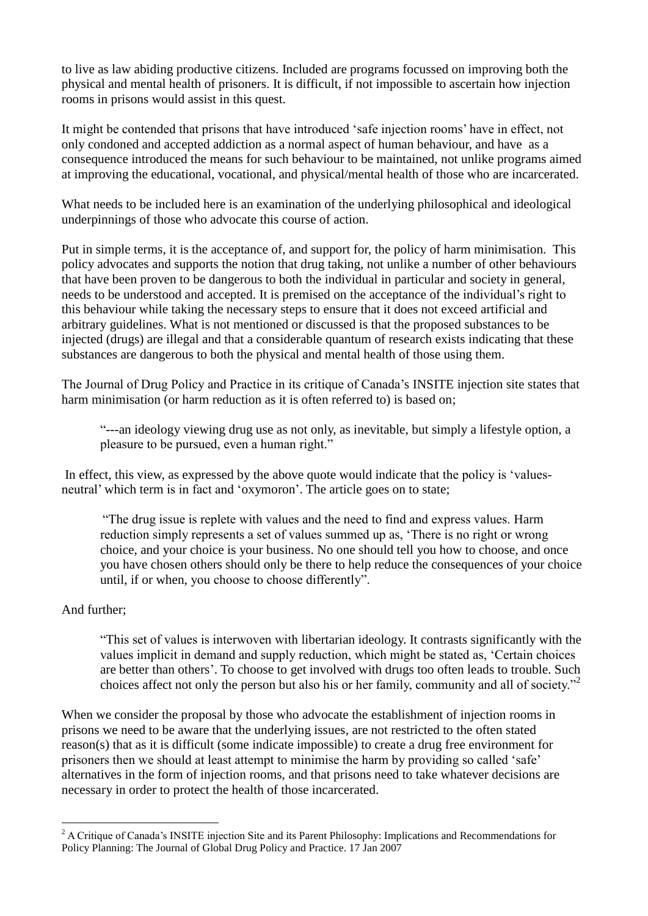to live as law abiding productive citizens. Included are programs focussed on improving both the physical and mental health of prisoners. It is difficult, if not impossible to ascertain how injection rooms in prisons would assist in this quest.

It might be contended that prisons that have introduced 'safe injection rooms' have in effect, not only condoned and accepted addiction as a normal aspect of human behaviour, and have as a consequence introduced the means for such behaviour to be maintained, not unlike programs aimed at improving the educational, vocational, and physical/mental health of those who are incarcerated.

What needs to be included here is an examination of the underlying philosophical and ideological underpinnings of those who advocate this course of action.

Put in simple terms, it is the acceptance of, and support for, the policy of harm minimisation. This policy advocates and supports the notion that drug taking, not unlike a number of other behaviours that have been proven to be dangerous to both the individual in particular and society in general, needs to be understood and accepted. It is premised on the acceptance of the individual's right to this behaviour while taking the necessary steps to ensure that it does not exceed artificial and arbitrary guidelines. What is not mentioned or discussed is that the proposed substances to be injected (drugs) are illegal and that a considerable quantum of research exists indicating that these substances are dangerous to both the physical and mental health of those using them.

The Journal of Drug Policy and Practice in its critique of Canada's INSITE injection site states that harm minimisation (or harm reduction as it is often referred to) is based on;

"---an ideology viewing drug use as not only, as inevitable, but simply a lifestyle option, a pleasure to be pursued, even a human right."

In effect, this view, as expressed by the above quote would indicate that the policy is 'valuesneutral' which term is in fact and 'oxymoron'. The article goes on to state;

"The drug issue is replete with values and the need to find and express values. Harm reduction simply represents a set of values summed up as, 'There is no right or wrong choice, and your choice is your business. No one should tell you how to choose, and once you have chosen others should only be there to help reduce the consequences of your choice until, if or when, you choose to choose differently".

## And further;

<u>.</u>

"This set of values is interwoven with libertarian ideology. It contrasts significantly with the values implicit in demand and supply reduction, which might be stated as, 'Certain choices are better than others'. To choose to get involved with drugs too often leads to trouble. Such choices affect not only the person but also his or her family, community and all of society."<sup>2</sup>

When we consider the proposal by those who advocate the establishment of injection rooms in prisons we need to be aware that the underlying issues, are not restricted to the often stated reason(s) that as it is difficult (some indicate impossible) to create a drug free environment for prisoners then we should at least attempt to minimise the harm by providing so called 'safe' alternatives in the form of injection rooms, and that prisons need to take whatever decisions are necessary in order to protect the health of those incarcerated.

<sup>&</sup>lt;sup>2</sup> A Critique of Canada's INSITE injection Site and its Parent Philosophy: Implications and Recommendations for Policy Planning: The Journal of Global Drug Policy and Practice. 17 Jan 2007